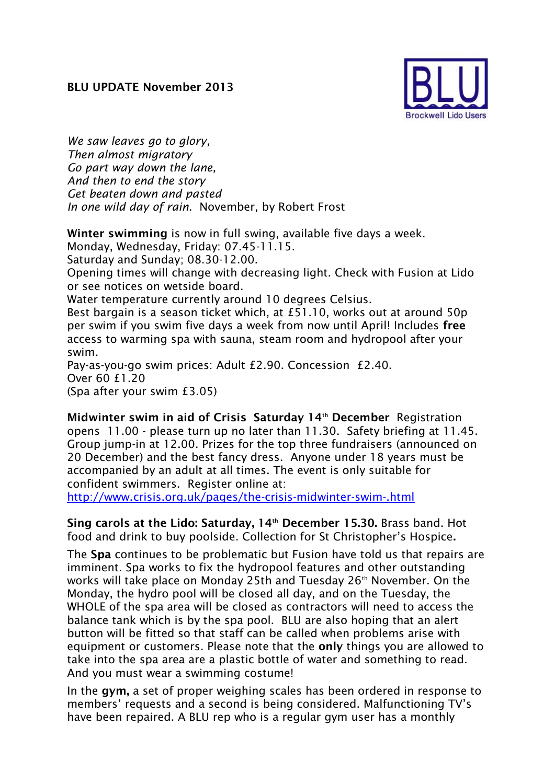

*We saw leaves go to glory, Then almost migratory Go part way down the lane, And then to end the story Get beaten down and pasted In one wild day of rain*. November, by Robert Frost

**Winter swimming** is now in full swing, available five days a week.

Monday, Wednesday, Friday: 07.45-11.15.

Saturday and Sunday; 08.30-12.00.

Opening times will change with decreasing light. Check with Fusion at Lido or see notices on wetside board.

Water temperature currently around 10 degrees Celsius.

Best bargain is a season ticket which, at £51.10, works out at around 50p per swim if you swim five days a week from now until April! Includes **free**  access to warming spa with sauna, steam room and hydropool after your swim.

Pay-as-you-go swim prices: Adult £2.90. Concession £2.40. Over 60 £1.20 (Spa after your swim £3.05)

**Midwinter swim in aid of Crisis Saturday 14th December** Registration opens 11.00 - please turn up no later than 11.30. Safety briefing at 11.45. Group jump-in at 12.00. Prizes for the top three fundraisers (announced on 20 December) and the best fancy dress. Anyone under 18 years must be accompanied by an adult at all times. The event is only suitable for confident swimmers. Register online at:

<http://www.crisis.org.uk/pages/the-crisis-midwinter-swim-.html>

**Sing carols at the Lido: Saturday, 14th December 15.30.** Brass band. Hot food and drink to buy poolside. Collection for St Christopher's Hospice**.** 

The **Spa** continues to be problematic but Fusion have told us that repairs are imminent. Spa works to fix the hydropool features and other outstanding works will take place on Monday 25th and Tuesday 26th November. On the Monday, the hydro pool will be closed all day, and on the Tuesday, the WHOLE of the spa area will be closed as contractors will need to access the balance tank which is by the spa pool. BLU are also hoping that an alert button will be fitted so that staff can be called when problems arise with equipment or customers. Please note that the **only** things you are allowed to take into the spa area are a plastic bottle of water and something to read. And you must wear a swimming costume!

In the **gym,** a set of proper weighing scales has been ordered in response to members' requests and a second is being considered. Malfunctioning TV's have been repaired. A BLU rep who is a regular gym user has a monthly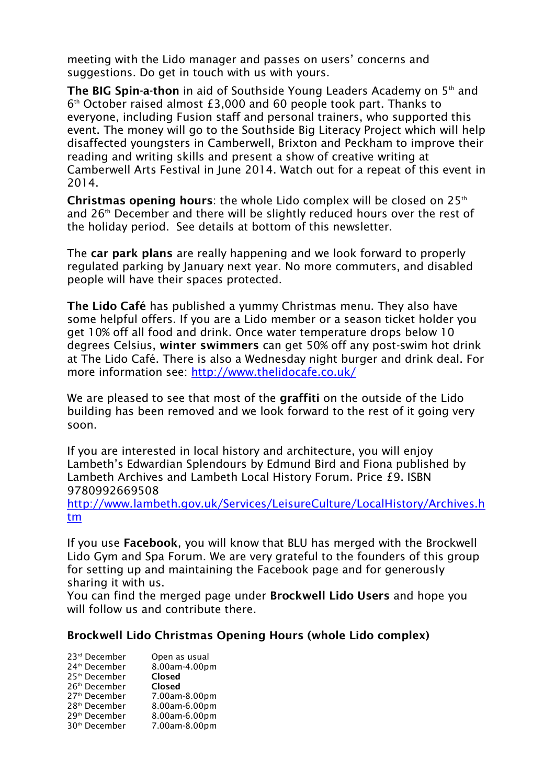meeting with the Lido manager and passes on users' concerns and suggestions. Do get in touch with us with yours.

**The BIG Spin-a-thon** in aid of Southside Young Leaders Academy on 5<sup>th</sup> and 6 th October raised almost £3,000 and 60 people took part. Thanks to everyone, including Fusion staff and personal trainers, who supported this event. The money will go to the Southside Big Literacy Project which will help disaffected youngsters in Camberwell, Brixton and Peckham to improve their reading and writing skills and present a show of creative writing at Camberwell Arts Festival in June 2014. Watch out for a repeat of this event in 2014.

**Christmas opening hours**: the whole Lido complex will be closed on 25th and 26<sup>th</sup> December and there will be slightly reduced hours over the rest of the holiday period. See details at bottom of this newsletter.

The **car park plans** are really happening and we look forward to properly regulated parking by January next year. No more commuters, and disabled people will have their spaces protected.

**The Lido Café** has published a yummy Christmas menu. They also have some helpful offers. If you are a Lido member or a season ticket holder you get 10% off all food and drink. Once water temperature drops below 10 degrees Celsius, **winter swimmers** can get 50% off any post-swim hot drink at The Lido Café. There is also a Wednesday night burger and drink deal. For more information see:<http://www.thelidocafe.co.uk/>

We are pleased to see that most of the **graffiti** on the outside of the Lido building has been removed and we look forward to the rest of it going very soon.

If you are interested in local history and architecture, you will enjoy Lambeth's Edwardian Splendours by Edmund Bird and Fiona published by Lambeth Archives and Lambeth Local History Forum. Price £9. ISBN 9780992669508

[http://www.lambeth.gov.uk/Services/LeisureCulture/LocalHistory/Archives.h](http://www.lambeth.gov.uk/Services/LeisureCulture/LocalHistory/Archives.htm) [tm](http://www.lambeth.gov.uk/Services/LeisureCulture/LocalHistory/Archives.htm)

If you use **Facebook**, you will know that BLU has merged with the Brockwell Lido Gym and Spa Forum. We are very grateful to the founders of this group for setting up and maintaining the Facebook page and for generously sharing it with us.

You can find the merged page under **Brockwell Lido Users** and hope you will follow us and contribute there.

## **Brockwell Lido Christmas Opening Hours (whole Lido complex)**

| 23rd December             | Open as usual |
|---------------------------|---------------|
| 24 <sup>th</sup> December | 8.00am-4.00pm |
| 25 <sup>th</sup> December | Closed        |
| 26 <sup>th</sup> December | Closed        |
| 27 <sup>th</sup> December | 7.00am-8.00pm |
| 28 <sup>th</sup> December | 8.00am-6.00pm |
| 29 <sup>th</sup> December | 8.00am-6.00pm |
| 30 <sup>th</sup> December | 7.00am-8.00pm |